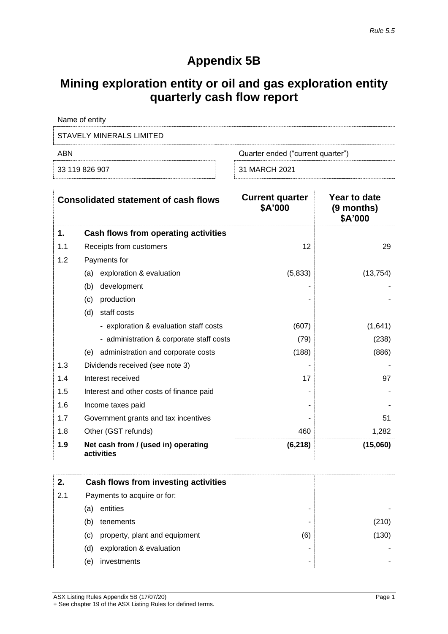# **Appendix 5B**

# **Mining exploration entity or oil and gas exploration entity quarterly cash flow report**

| Name of entity           |                                   |
|--------------------------|-----------------------------------|
| STAVELY MINERALS LIMITED |                                   |
| ABN                      | Quarter ended ("current quarter") |
| 33 119 826 907           | 31 MARCH 2021                     |

| <b>Consolidated statement of cash flows</b> |                                                   | <b>Current quarter</b><br>\$A'000 | Year to date<br>(9 months)<br>\$A'000 |
|---------------------------------------------|---------------------------------------------------|-----------------------------------|---------------------------------------|
| 1.                                          | Cash flows from operating activities              |                                   |                                       |
| 1.1                                         | Receipts from customers                           | 12                                | 29                                    |
| 1.2                                         | Payments for                                      |                                   |                                       |
|                                             | exploration & evaluation<br>(a)                   | (5,833)                           | (13, 754)                             |
|                                             | (b)<br>development                                |                                   |                                       |
|                                             | production<br>(c)                                 |                                   |                                       |
|                                             | staff costs<br>(d)                                |                                   |                                       |
|                                             | - exploration & evaluation staff costs            | (607)                             | (1,641)                               |
|                                             | - administration & corporate staff costs          | (79)                              | (238)                                 |
|                                             | administration and corporate costs<br>(e)         | (188)                             | (886)                                 |
| 1.3                                         | Dividends received (see note 3)                   |                                   |                                       |
| 1.4                                         | Interest received                                 | 17                                | 97                                    |
| 1.5                                         | Interest and other costs of finance paid          |                                   |                                       |
| 1.6                                         | Income taxes paid                                 |                                   |                                       |
| 1.7                                         | Government grants and tax incentives              |                                   | 51                                    |
| 1.8                                         | Other (GST refunds)                               | 460                               | 1,282                                 |
| 1.9                                         | Net cash from / (used in) operating<br>activities | (6, 218)                          | (15,060)                              |

| 2.  | Cash flows from investing activities |                               |     |       |
|-----|--------------------------------------|-------------------------------|-----|-------|
| 2.1 | Payments to acquire or for:          |                               |     |       |
|     | (a)                                  | entities                      | -   |       |
|     | (b)                                  | tenements                     | -   | (210) |
|     | (C)                                  | property, plant and equipment | (6) | (130) |
|     | (d)                                  | exploration & evaluation      | -   |       |
|     | (e)                                  | investments                   | -   |       |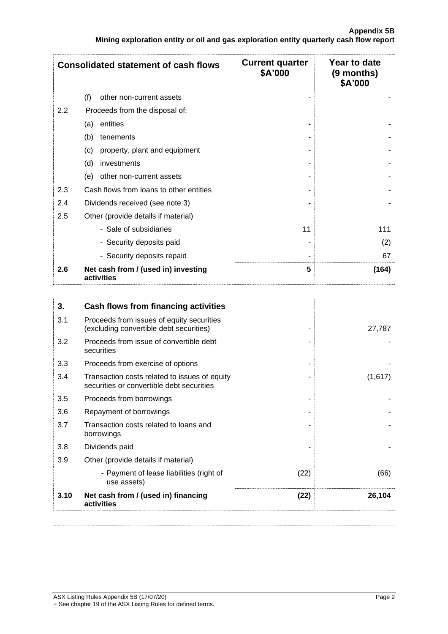|         | <b>Consolidated statement of cash flows</b>       | <b>Current quarter</b><br>\$A'000 | Year to date<br>(9 months)<br>\$A'000 |
|---------|---------------------------------------------------|-----------------------------------|---------------------------------------|
|         | (f)<br>other non-current assets                   |                                   |                                       |
| $2.2\,$ | Proceeds from the disposal of:                    |                                   |                                       |
|         | entities<br>(a)                                   |                                   |                                       |
|         | (b)<br>tenements                                  |                                   |                                       |
|         | property, plant and equipment<br>(c)              |                                   |                                       |
|         | (d)<br>investments                                |                                   |                                       |
|         | other non-current assets<br>(e)                   |                                   |                                       |
| 2.3     | Cash flows from loans to other entities           |                                   |                                       |
| 2.4     | Dividends received (see note 3)                   |                                   |                                       |
| 2.5     | Other (provide details if material)               |                                   |                                       |
|         | - Sale of subsidiaries                            | 11                                | 111                                   |
|         | - Security deposits paid                          |                                   | (2)                                   |
|         | - Security deposits repaid                        |                                   | 67                                    |
| 2.6     | Net cash from / (used in) investing<br>activities | 5                                 | (164)                                 |

| 3.   | Cash flows from financing activities                                                       |      |         |
|------|--------------------------------------------------------------------------------------------|------|---------|
| 3.1  | Proceeds from issues of equity securities<br>(excluding convertible debt securities)       |      | 27,787  |
| 3.2  | Proceeds from issue of convertible debt<br>securities                                      |      |         |
| 3.3  | Proceeds from exercise of options                                                          |      |         |
| 3.4  | Transaction costs related to issues of equity<br>securities or convertible debt securities |      | (1,617) |
| 3.5  | Proceeds from borrowings                                                                   |      |         |
| 3.6  | Repayment of borrowings                                                                    |      |         |
| 3.7  | Transaction costs related to loans and<br>borrowings                                       |      |         |
| 3.8  | Dividends paid                                                                             |      |         |
| 3.9  | Other (provide details if material)                                                        |      |         |
|      | - Payment of lease liabilities (right of<br>use assets)                                    | (22) | (66)    |
| 3.10 | Net cash from / (used in) financing<br>activities                                          | (22) | 26,104  |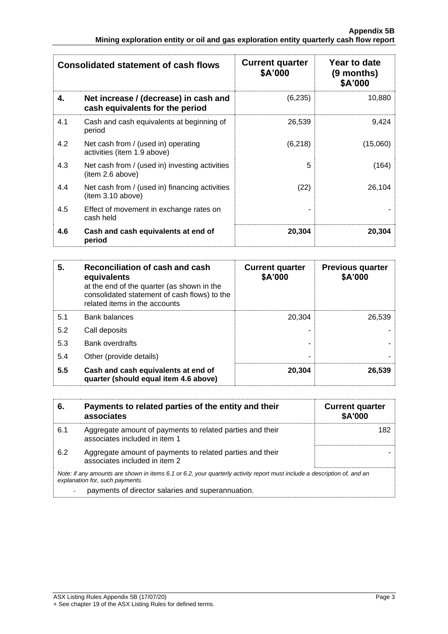| <b>Consolidated statement of cash flows</b> |                                                                          | <b>Current quarter</b><br>\$A'000 | Year to date<br>$(9$ months)<br>\$A'000 |
|---------------------------------------------|--------------------------------------------------------------------------|-----------------------------------|-----------------------------------------|
| 4.                                          | Net increase / (decrease) in cash and<br>cash equivalents for the period | (6,235)                           | 10,880                                  |
| 4.1                                         | Cash and cash equivalents at beginning of<br>period                      | 26,539                            | 9,424                                   |
| 4.2                                         | Net cash from / (used in) operating<br>activities (item 1.9 above)       | (6, 218)                          | (15,060)                                |
| 4.3                                         | Net cash from / (used in) investing activities<br>(item 2.6 above)       | 5                                 | (164)                                   |
| 4.4                                         | Net cash from / (used in) financing activities<br>(item 3.10 above)      | (22)                              | 26,104                                  |
| 4.5                                         | Effect of movement in exchange rates on<br>cash held                     |                                   |                                         |
| 4.6                                         | Cash and cash equivalents at end of<br>period                            | 20,304                            | 20,304                                  |

| 5.  | Reconciliation of cash and cash<br>equivalents<br>at the end of the quarter (as shown in the<br>consolidated statement of cash flows) to the<br>related items in the accounts | <b>Current quarter</b><br>\$A'000 | <b>Previous quarter</b><br>\$A'000 |
|-----|-------------------------------------------------------------------------------------------------------------------------------------------------------------------------------|-----------------------------------|------------------------------------|
| 5.1 | <b>Bank balances</b>                                                                                                                                                          | 20.304                            | 26.539                             |
| 5.2 | Call deposits                                                                                                                                                                 |                                   |                                    |
| 5.3 | <b>Bank overdrafts</b>                                                                                                                                                        |                                   |                                    |
| 5.4 | Other (provide details)                                                                                                                                                       |                                   |                                    |
| 5.5 | Cash and cash equivalents at end of<br>quarter (should equal item 4.6 above)                                                                                                  | 20.304                            | 26,539                             |

| 6.  | Payments to related parties of the entity and their<br>associates                                                                                           | <b>Current quarter</b><br><b>\$A'000</b> |
|-----|-------------------------------------------------------------------------------------------------------------------------------------------------------------|------------------------------------------|
| 6.1 | Aggregate amount of payments to related parties and their<br>associates included in item 1                                                                  | 182                                      |
| 6.2 | Aggregate amount of payments to related parties and their<br>associates included in item 2                                                                  |                                          |
|     | Note: if any amounts are shown in items 6.1 or 6.2, your quarterly activity report must include a description of, and an<br>explanation for, such payments. |                                          |
|     | payments of director salaries and superannuation.                                                                                                           |                                          |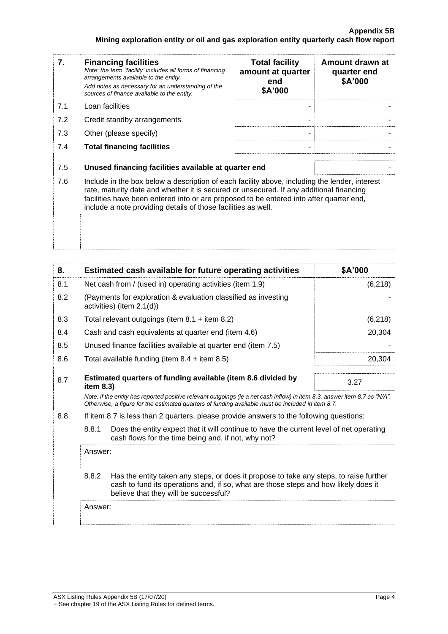| 7.  | <b>Financing facilities</b><br>Note: the term "facility' includes all forms of financing<br>arrangements available to the entity.<br>Add notes as necessary for an understanding of the<br>sources of finance available to the entity.                                                                                                               | <b>Total facility</b><br>amount at quarter<br>end<br>\$A'000 | Amount drawn at<br>quarter end<br>\$A'000 |
|-----|------------------------------------------------------------------------------------------------------------------------------------------------------------------------------------------------------------------------------------------------------------------------------------------------------------------------------------------------------|--------------------------------------------------------------|-------------------------------------------|
| 7.1 | Loan facilities                                                                                                                                                                                                                                                                                                                                      |                                                              |                                           |
| 7.2 | Credit standby arrangements                                                                                                                                                                                                                                                                                                                          |                                                              |                                           |
| 7.3 | Other (please specify)                                                                                                                                                                                                                                                                                                                               |                                                              |                                           |
| 7.4 | <b>Total financing facilities</b>                                                                                                                                                                                                                                                                                                                    |                                                              |                                           |
| 7.5 | Unused financing facilities available at quarter end                                                                                                                                                                                                                                                                                                 |                                                              |                                           |
| 7.6 | Include in the box below a description of each facility above, including the lender, interest<br>rate, maturity date and whether it is secured or unsecured. If any additional financing<br>facilities have been entered into or are proposed to be entered into after quarter end,<br>include a note providing details of those facilities as well. |                                                              |                                           |
|     |                                                                                                                                                                                                                                                                                                                                                      |                                                              |                                           |

| 8.  | Estimated cash available for future operating activities  |                                                                                                                                                                                                                                 | \$A'000  |  |
|-----|-----------------------------------------------------------|---------------------------------------------------------------------------------------------------------------------------------------------------------------------------------------------------------------------------------|----------|--|
| 8.1 | Net cash from / (used in) operating activities (item 1.9) |                                                                                                                                                                                                                                 | (6, 218) |  |
| 8.2 |                                                           | (Payments for exploration & evaluation classified as investing<br>activities) (item 2.1(d))                                                                                                                                     |          |  |
| 8.3 |                                                           | Total relevant outgoings (item $8.1 +$ item $8.2$ )                                                                                                                                                                             | (6, 218) |  |
| 8.4 |                                                           | Cash and cash equivalents at quarter end (item 4.6)                                                                                                                                                                             | 20,304   |  |
| 8.5 |                                                           | Unused finance facilities available at quarter end (item 7.5)                                                                                                                                                                   |          |  |
| 8.6 |                                                           | Total available funding (item $8.4 +$ item $8.5$ )                                                                                                                                                                              | 20,304   |  |
| 8.7 | item 8.3)                                                 | Estimated quarters of funding available (item 8.6 divided by                                                                                                                                                                    | 3.27     |  |
|     |                                                           | Note: if the entity has reported positive relevant outgoings (ie a net cash inflow) in item 8.3, answer item 8.7 as "N/A".<br>Otherwise, a figure for the estimated quarters of funding available must be included in item 8.7. |          |  |
| 8.8 |                                                           | If item 8.7 is less than 2 quarters, please provide answers to the following questions:                                                                                                                                         |          |  |
|     | 8.8.1                                                     | Does the entity expect that it will continue to have the current level of net operating<br>cash flows for the time being and, if not, why not?                                                                                  |          |  |
|     | Answer:                                                   |                                                                                                                                                                                                                                 |          |  |
|     | 8.8.2                                                     | Has the entity taken any steps, or does it propose to take any steps, to raise further<br>cash to fund its operations and, if so, what are those steps and how likely does it<br>believe that they will be successful?          |          |  |
|     | Answer:                                                   |                                                                                                                                                                                                                                 |          |  |
|     |                                                           |                                                                                                                                                                                                                                 |          |  |